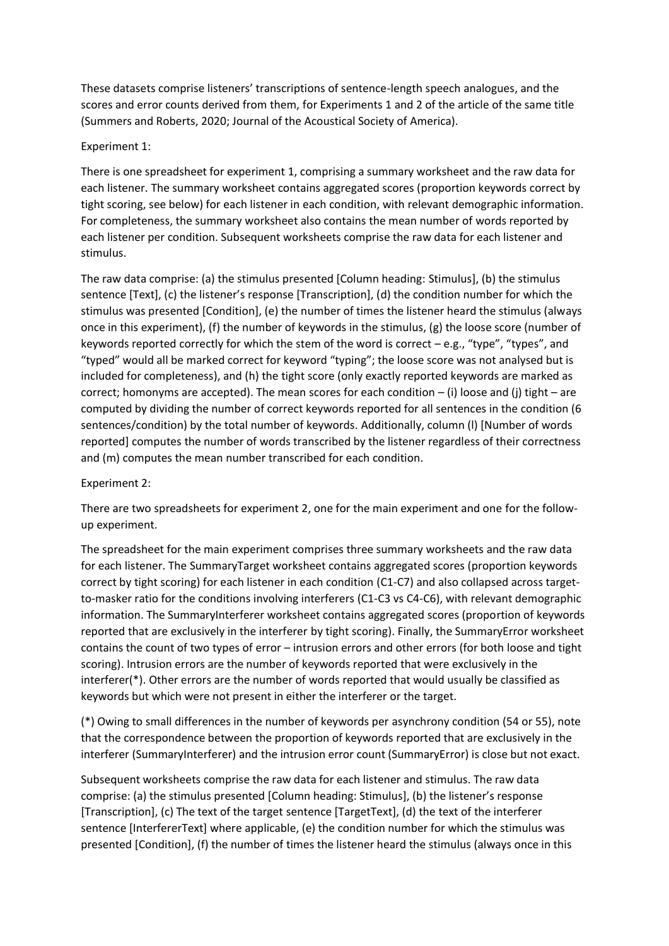These datasets comprise listeners' transcriptions of sentence-length speech analogues, and the scores and error counts derived from them, for Experiments 1 and 2 of the article of the same title (Summers and Roberts, 2020; Journal of the Acoustical Society of America).

## Experiment 1:

There is one spreadsheet for experiment 1, comprising a summary worksheet and the raw data for each listener. The summary worksheet contains aggregated scores (proportion keywords correct by tight scoring, see below) for each listener in each condition, with relevant demographic information. For completeness, the summary worksheet also contains the mean number of words reported by each listener per condition. Subsequent worksheets comprise the raw data for each listener and stimulus.

The raw data comprise: (a) the stimulus presented [Column heading: Stimulus], (b) the stimulus sentence [Text], (c) the listener's response [Transcription], (d) the condition number for which the stimulus was presented [Condition], (e) the number of times the listener heard the stimulus (always once in this experiment), (f) the number of keywords in the stimulus, (g) the loose score (number of keywords reported correctly for which the stem of the word is correct – e.g., "type", "types", and "typed" would all be marked correct for keyword "typing"; the loose score was not analysed but is included for completeness), and (h) the tight score (only exactly reported keywords are marked as correct; homonyms are accepted). The mean scores for each condition  $-$  (i) loose and (i) tight  $-$  are computed by dividing the number of correct keywords reported for all sentences in the condition (6 sentences/condition) by the total number of keywords. Additionally, column (l) [Number of words reported] computes the number of words transcribed by the listener regardless of their correctness and (m) computes the mean number transcribed for each condition.

## Experiment 2:

There are two spreadsheets for experiment 2, one for the main experiment and one for the followup experiment.

The spreadsheet for the main experiment comprises three summary worksheets and the raw data for each listener. The SummaryTarget worksheet contains aggregated scores (proportion keywords correct by tight scoring) for each listener in each condition (C1-C7) and also collapsed across targetto-masker ratio for the conditions involving interferers (C1-C3 vs C4-C6), with relevant demographic information. The SummaryInterferer worksheet contains aggregated scores (proportion of keywords reported that are exclusively in the interferer by tight scoring). Finally, the SummaryError worksheet contains the count of two types of error – intrusion errors and other errors (for both loose and tight scoring). Intrusion errors are the number of keywords reported that were exclusively in the interferer(\*). Other errors are the number of words reported that would usually be classified as keywords but which were not present in either the interferer or the target.

(\*) Owing to small differences in the number of keywords per asynchrony condition (54 or 55), note that the correspondence between the proportion of keywords reported that are exclusively in the interferer (SummaryInterferer) and the intrusion error count (SummaryError) is close but not exact.

Subsequent worksheets comprise the raw data for each listener and stimulus. The raw data comprise: (a) the stimulus presented [Column heading: Stimulus], (b) the listener's response [Transcription], (c) The text of the target sentence [TargetText], (d) the text of the interferer sentence [InterfererText] where applicable, (e) the condition number for which the stimulus was presented [Condition], (f) the number of times the listener heard the stimulus (always once in this